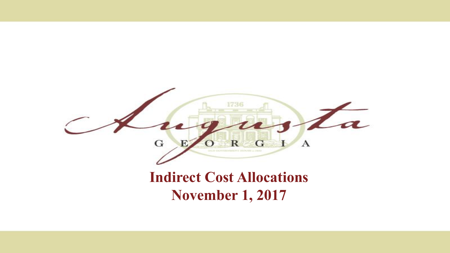

#### **Indirect Cost Allocations November 1, 2017**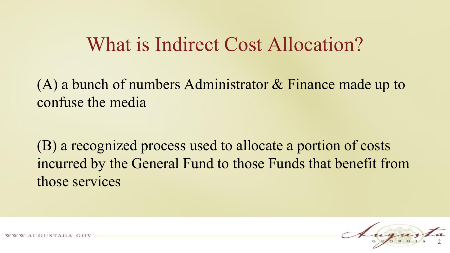### What is Indirect Cost Allocation?

(A) a bunch of numbers Administrator & Finance made up to confuse the media

(B) a recognized process used to allocate a portion of costs incurred by the General Fund to those Funds that benefit from those services



 $STAGA.GO$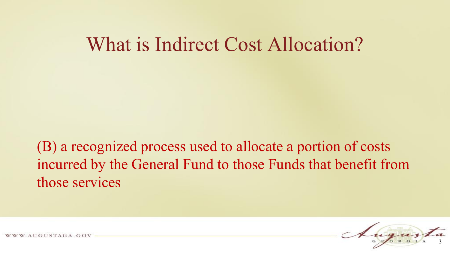#### What is Indirect Cost Allocation?

(B) a recognized process used to allocate a portion of costs incurred by the General Fund to those Funds that benefit from those services



USTAGA.GOV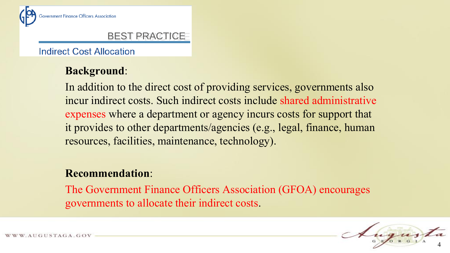

#### BEST PRACTICE

**Indirect Cost Allocation** 

#### **Background**:

In addition to the direct cost of providing services, governments also incur indirect costs. Such indirect costs include shared administrative expenses where a department or agency incurs costs for support that it provides to other departments/agencies (e.g., legal, finance, human resources, facilities, maintenance, technology).

#### **Recommendation**:

The Government Finance Officers Association (GFOA) encourages governments to allocate their indirect costs.

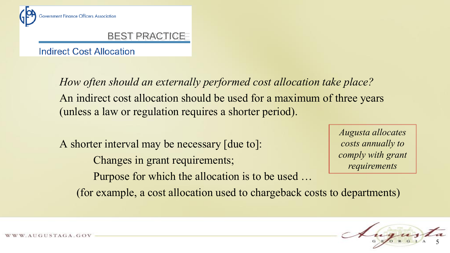

#### BEST PRACTICE

**Indirect Cost Allocation** 

*How often should an externally performed cost allocation take place?* An indirect cost allocation should be used for a maximum of three years (unless a law or regulation requires a shorter period).

A shorter interval may be necessary [due to]: Changes in grant requirements; Purpose for which the allocation is to be used … (for example, a cost allocation used to chargeback costs to departments)

*Augusta allocates costs annually to comply with grant requirements*

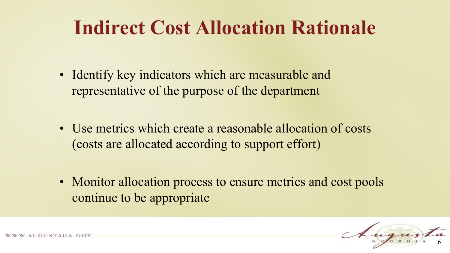## **Indirect Cost Allocation Rationale**

- Identify key indicators which are measurable and representative of the purpose of the department
- Use metrics which create a reasonable allocation of costs (costs are allocated according to support effort)
- Monitor allocation process to ensure metrics and cost pools continue to be appropriate

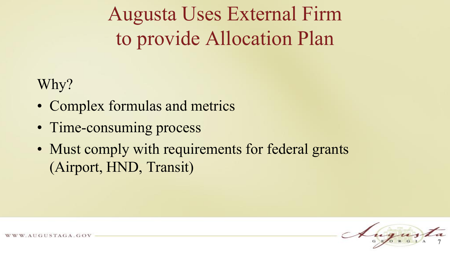Augusta Uses External Firm to provide Allocation Plan

Why?

- Complex formulas and metrics
- Time-consuming process
- Must comply with requirements for federal grants (Airport, HND, Transit)

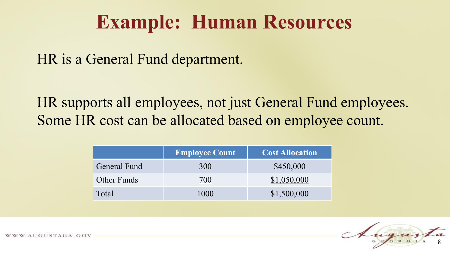### **Example: Human Resources**

HR is a General Fund department.

HR supports all employees, not just General Fund employees. Some HR cost can be allocated based on employee count.

|              | <b>Employee Count</b> | <b>Cost Allocation</b> |
|--------------|-----------------------|------------------------|
| General Fund | 300                   | \$450,000              |
| Other Funds  | 700                   | \$1,050,000            |
| Total        | 1000                  | \$1,500,000            |

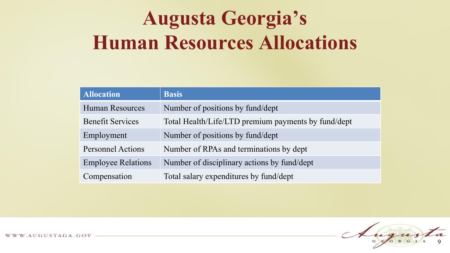## **Augusta Georgia's Human Resources Allocations**

| <b>Allocation</b>         | <b>Basis</b>                                        |
|---------------------------|-----------------------------------------------------|
| <b>Human Resources</b>    | Number of positions by fund/dept                    |
| <b>Benefit Services</b>   | Total Health/Life/LTD premium payments by fund/dept |
| Employment                | Number of positions by fund/dept                    |
| <b>Personnel Actions</b>  | Number of RPAs and terminations by dept             |
| <b>Employee Relations</b> | Number of disciplinary actions by fund/dept         |
| Compensation              | Total salary expenditures by fund/dept              |

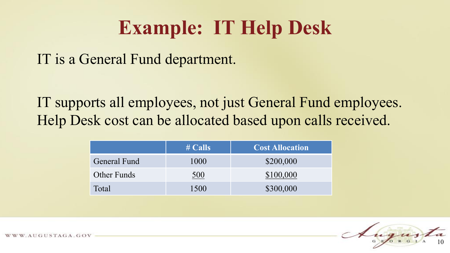### **Example: IT Help Desk**

IT is a General Fund department.

IT supports all employees, not just General Fund employees. Help Desk cost can be allocated based upon calls received.

|                    | $\#$ Calls | <b>Cost Allocation</b> |
|--------------------|------------|------------------------|
| General Fund       | 1000       | \$200,000              |
| <b>Other Funds</b> | 500        | \$100,000              |
| Total              | 1500       | \$300,000              |

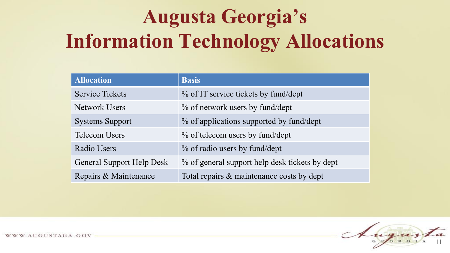# **Augusta Georgia's Information Technology Allocations**

| <b>Allocation</b>                | <b>Basis</b>                                   |
|----------------------------------|------------------------------------------------|
| <b>Service Tickets</b>           | % of IT service tickets by fund/dept           |
| <b>Network Users</b>             | % of network users by fund/dept                |
| <b>Systems Support</b>           | % of applications supported by fund/dept       |
| <b>Telecom Users</b>             | % of telecom users by fund/dept                |
| Radio Users                      | % of radio users by fund/dept                  |
| <b>General Support Help Desk</b> | % of general support help desk tickets by dept |
| Repairs & Maintenance            | Total repairs & maintenance costs by dept      |

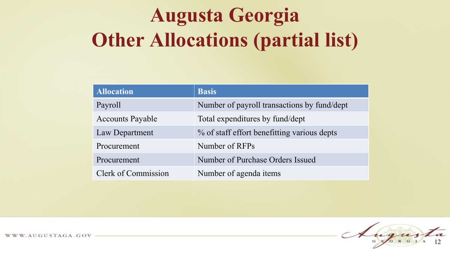## **Augusta Georgia Other Allocations (partial list)**

| <b>Allocation</b>          | <b>Basis</b>                                |
|----------------------------|---------------------------------------------|
| Payroll                    | Number of payroll transactions by fund/dept |
| <b>Accounts Payable</b>    | Total expenditures by fund/dept             |
| Law Department             | % of staff effort benefitting various depts |
| Procurement                | Number of RFPs                              |
| Procurement                | Number of Purchase Orders Issued            |
| <b>Clerk of Commission</b> | Number of agenda items                      |



WWW.AUGUSTAGA.GOV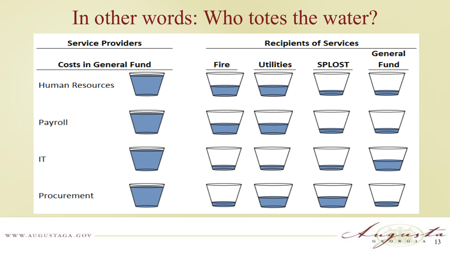### In other words: Who totes the water?



WWW.AUGUSTAGA.GOV